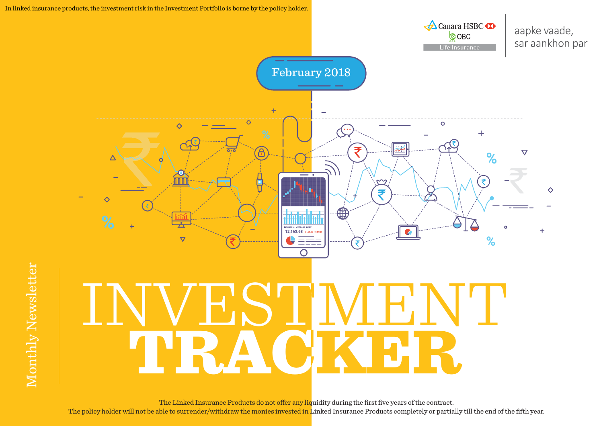

The Linked Insurance Products do not offer any liquidity during the first five years of the contract. The policy holder will not be able to surrender/withdraw the monies invested in Linked Insurance Products completely or partially till the end of the fifth year.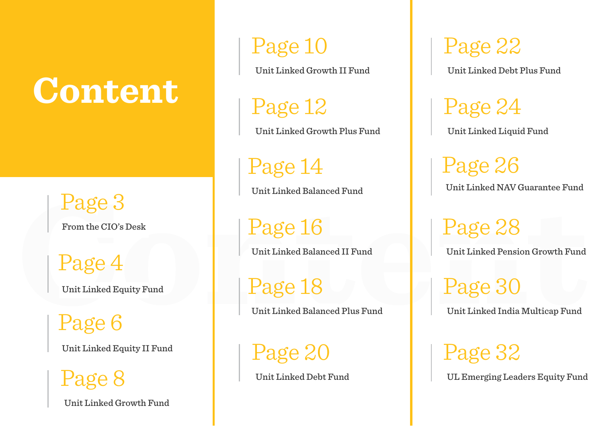## **Content**

Page 3

From the CIO's Desk

Page 3<br>
From the CIO's Desk<br>
Page 4<br>
Unit Linked Balanced II Fund<br>
Page 16<br>
Unit Linked Balanced Plus Fund<br>
Page 6<br>
Unit Linked Balanced Plus Fund<br>
Unit Linked India Multicap Fund<br>
Unit Linked Balanced Plus Fund<br>
Unit Link Page 4 Unit Linked Equity Fund

Page 6

Unit Linked Growth Fund

## Page 10

Unit Linked Growth II Fund

Page 12

Unit Linked Growth Plus Fund

Page 14

Unit Linked Balanced Fund

Page 16

Unit Linked Balanced II Fund

Page 18

Unit Linked Balanced Plus Fund

Unit Linked Equity II Fund Page 32 Page 20

Unit Linked Debt Fund

Page 22

Unit Linked Debt Plus Fund

Page 24 Unit Linked Liquid Fund

Page 26 Unit Linked NAV Guarantee Fund

Page 28

Unit Linked Pension Growth Fund

Page 30

Unit Linked India Multicap Fund

 $\text{Page 8}$  Unit Linked Debt Fund UL Emerging Leaders Equity Fund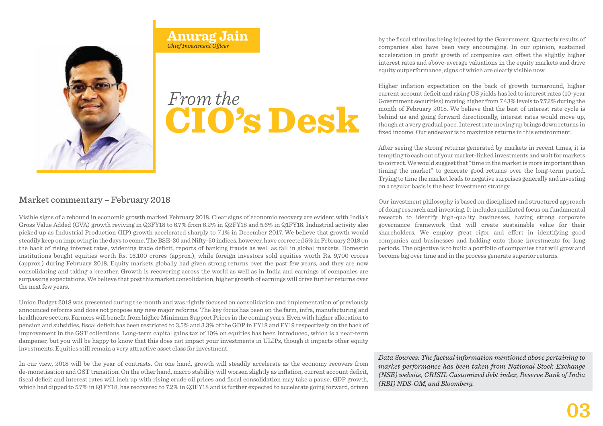## CIO's Desk *From the*

Market commentary – February 2018<br>Visible signs of a rebound in economic growth marked<br>Gross Value Added (GVA) growth reviving in Q3FY18 to<br>picked up as Industrial Production (IIP) growth accele<br>steadily keep on improving Visible signs of a rebound in economic growth marked February 2018. Clear signs of economic recovery are evident with India's Gross Value Added (GVA) growth reviving in Q3FY18 to 6.7% from 6.2% in Q2FY18 and 5.6% in Q1FY18. Industrial activity also picked up as Industrial Production (IIP) growth accelerated sharply to 7.1% in December 2017. We believe that growth would steadily keep on improving in the days to come. The BSE-30 and Nifty-50 indices, however, have corrected 5% in February 2018 on the back of rising interest rates, widening trade deficit, reports of banking frauds as well as fall in global markets. Domestic institutions bought equities worth Rs. 16,100 crores (approx.), while foreign investors sold equities worth Rs. 9,700 crores (approx.) during February 2018. Equity markets globally had given strong returns over the past few years, and they are now consolidating and taking a breather. Growth is recovering across the world as well as in India and earnings of companies are surpassing expectations. We believe that post this market consolidation, higher growth of earnings will drive further returns over the next few years.

**Anurag Jain** *Chief Investment Officer* 

Union Budget 2018 was presented during the month and was rightly focused on consolidation and implementation of previously announced reforms and does not propose any new major reforms. The key focus has been on the farm, infra, manufacturing and healthcare sectors. Farmers will benefit from higher Minimum Support Prices in the coming years. Even with higher allocation to pension and subsidies, fiscal deficit has been restricted to 3.5% and 3.3% of the GDP in FY18 and FY19 respectively on the back of improvement in the GST collections. Long-term capital gains tax of 10% on equities has been introduced, which is a near-term dampener, but you will be happy to know that this does not impact your investments in ULIPs, though it impacts other equity investments. Equities still remain a very attractive asset class for investment.

In our view, 2018 will be the year of contrasts. On one hand, growth will steadily accelerate as the economy recovers from de-monetisation and GST transition. On the other hand, macro stability will worsen slightly as inflation, current account deficit, fiscal deficit and interest rates will inch up with rising crude oil prices and fiscal consolidation may take a pause. GDP growth, which had dipped to 5.7% in Q1FY18, has recovered to 7.2% in Q3FY18 and is further expected to accelerate going forward, driven by the fiscal stimulus being injected by the Government. Quarterly results of companies also have been very encouraging. In our opinion, sustained acceleration in profit growth of companies can offset the slightly higher interest rates and above-average valuations in the equity markets and drive equity outperformance, signs of which are clearly visible now.

Higher inflation expectation on the back of growth turnaround, higher current account deficit and rising US yields has led to interest rates (10-year Government securities) moving higher from 7.43% levels to 7.72% during the month of February 2018. We believe that the best of interest rate cycle is behind us and going forward directionally, interest rates would move up, though at a very gradual pace. Interest rate moving up brings down returns in fixed income. Our endeavor is to maximize returns in this environment.

After seeing the strong returns generated by markets in recent times, it is tempting to cash out of your market-linked investments and wait for markets to correct. We would suggest that "time in the market is more important than timing the market" to generate good returns over the long-term period. Trying to time the market leads to negative surprises generally and investing on a regular basis is the best investment strategy.

Our investment philosophy is based on disciplined and structured approach of doing research and investing. It includes undiluted focus on fundamental research to identify high-quality businesses, having strong corporate governance framework that will create sustainable value for their shareholders. We employ great rigor and effort in identifying good companies and businesses and holding onto those investments for long periods. The objective is to build a portfolio of companies that will grow and become big over time and in the process generate superior returns.

*Data Sources: The factual information mentioned above pertaining to market performance has been taken from National Stock Exchange (NSE) website, CRISIL Customized debt index, Reserve Bank of India (RBI) NDS-OM, and Bloomberg.*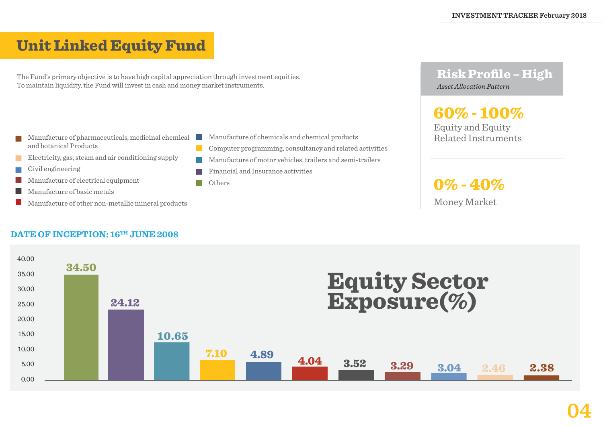## Unit Linked Equity Fund

The Fund's primary objective is to have high capital appreciation through investment equities. To maintain liquidity, the Fund will invest in cash and money market instruments.

- Manufacture of pharmaceuticals, medicinal chemical and botanical Products
- Electricity, gas, steam and air conditioning supply
- Civil engineering
- Manufacture of electrical equipment
- Manufacture of basic metals
- Manufacture of other non-metallic mineral products

## DATE OF INCEPTION: 16<sup>TH</sup> JUNE 2008

- Manufacture of chemicals and chemical products
- Computer programming, consultancy and related activities
- Manufacture of motor vehicles, trailers and semi-trailers
- Financial and Insurance activities
- Others

 $\mathcal{L}^{\text{max}}$  $\mathcal{L}^{\text{max}}$ 

#### Risk Profile – High *Asset Allocation Pattern*

## 60% - 100%

Equity and Equity Related Instruments

 $0\%$  -  $40\%$ 

Money Market

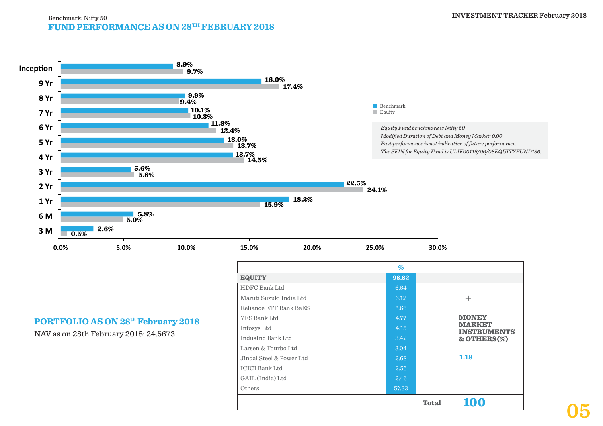#### **FUND PERFORMANCE AS ON 28TH FEBRUARY 2018** Benchmark: Nifty 50



#### **PORTFOLIO AS ON 28th February 2018**

NAV as on 28th February 2018: 24.5673

|                          | $\%$  |              |                                     |
|--------------------------|-------|--------------|-------------------------------------|
| <b>EQUITY</b>            | 98.82 |              |                                     |
| HDFC Bank Ltd            | 6.64  |              |                                     |
| Maruti Suzuki India Ltd  | 6.12  |              | ÷                                   |
| Reliance ETF Bank BeES   | 5.66  |              |                                     |
| YES Bank Ltd             | 4.77  |              | <b>MONEY</b>                        |
| Infosys Ltd              | 4.15  |              | <b>MARKET</b><br><b>INSTRUMENTS</b> |
| IndusInd Bank Ltd        | 3.42  |              | $&$ OTHERS $(\%)$                   |
| Larsen & Tourbo Ltd      | 3.04  |              |                                     |
| Jindal Steel & Power Ltd | 2.68  |              | 1.18                                |
| <b>ICICI Bank Ltd</b>    | 2.55  |              |                                     |
| GAIL (India) Ltd         | 2.46  |              |                                     |
| Others                   | 57.33 |              |                                     |
|                          |       | <b>Total</b> | <b>100</b>                          |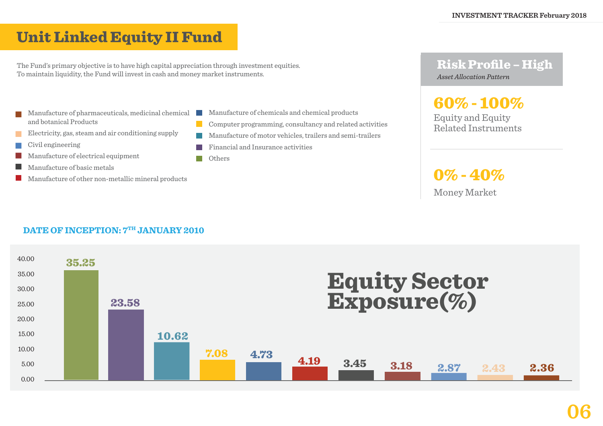## Unit Linked Equity II Fund

The Fund's primary objective is to have high capital appreciation through investment equities. To maintain liquidity, the Fund will invest in cash and money market instruments.

- Manufacture of pharmaceuticals, medicinal chemical and botanical Products
- Electricity, gas, steam and air conditioning supply
- Civil engineering
- Manufacture of electrical equipment
- Manufacture of basic metals
- Manufacture of other non-metallic mineral products

**DATE OF INCEPTION:**  $7^{\text{TH}}$  **JANUARY 2010** 

- Manufacture of chemicals and chemical products
- $\mathcal{L}^{\text{max}}$ Computer programming, consultancy and related activities
- Manufacture of motor vehicles, trailers and semi-trailers
- Financial and Insurance activities
- **Tara Others**

 $\mathbb{R}^n$ 

#### Risk Profile – High *Asset Allocation Pattern*

Equity and Equity 60% - 100%

Related Instruments

0% - 40%

Money Market

#### 40.00 35.00 30.00 25.00 20.00 15.00 10.00 5.00 0.00 35.25 23.58 7.08 4.73 4.19 3.45 3.18 2.87 2.43 2.36 10.62 Equity Sector Exposure(%)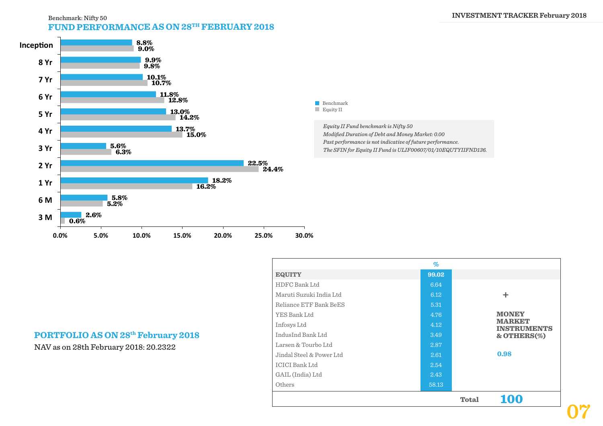#### **FUND PERFORMANCE AS ON 28TH FEBRUARY 2018** Benchmark: Nifty 50 **INVESTMENT TRACKER February 2018**





*Equity II Fund benchmark is Nifty 50 Modified Duration of Debt and Money Market: 0.00 Past performance is not indicative of future performance. The SFIN for Equity II Fund is ULIF00607/01/10EQUTYIIFND136.*

| <b>EQUITY</b>            | 99.02 |              |                                     |
|--------------------------|-------|--------------|-------------------------------------|
| HDFC Bank Ltd            | 6.64  |              |                                     |
| Maruti Suzuki India Ltd  | 6.12  |              | ÷.                                  |
| Reliance ETF Bank BeES   | 5.31  |              |                                     |
| YES Bank Ltd             | 4.76  |              | <b>MONEY</b>                        |
| Infosys Ltd              | 4.12  |              | <b>MARKET</b><br><b>INSTRUMENTS</b> |
| IndusInd Bank Ltd        | 3.49  |              | $&$ OTHERS $(\%)$                   |
| Larsen & Tourbo Ltd      | 2.87  |              |                                     |
| Jindal Steel & Power Ltd | 2.61  |              | 0.98                                |
| <b>ICICI Bank Ltd</b>    | 2.54  |              |                                     |
| GAIL (India) Ltd         | 2.43  |              |                                     |
| Others                   | 58.13 |              |                                     |
|                          |       | <b>Total</b> | 100                                 |

**%**

#### **PORTFOLIO AS ON 28th February 2018**

NAV as on 28th February 2018: 20.2322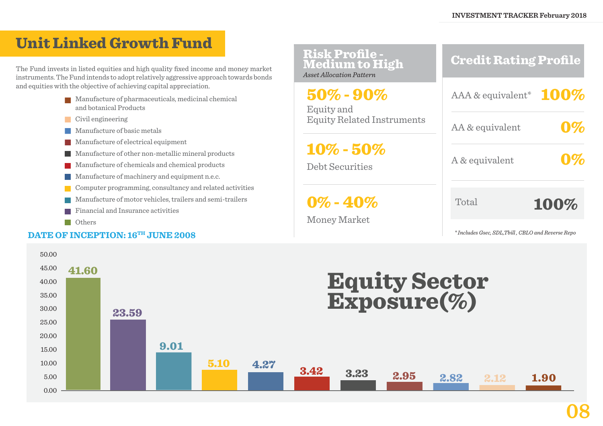## Unit Linked Growth Fund

The Fund invests in listed equities and high quality fixed income and money market instruments. The Fund intends to adopt relatively aggressive approach towards bonds and equities with the objective of achieving capital appreciation.

- **Manufacture of pharmaceuticals, medicinal chemical** and botanical Products
- Civil engineering
- **Manufacture of basic metals**
- Manufacture of electrical equipment
- Manufacture of other non-metallic mineral products
- **Manufacture of chemicals and chemical products**
- **Manufacture of machinery and equipment n.e.c.**
- Computer programming, consultancy and related activities
- Manufacture of motor vehicles, trailers and semi-trailers
- Financial and Insurance activities
- **Others**

#### DATE OF INCEPTION: 16<sup>TH</sup> JUNE 2008

| <b>Risk Profile -<br/>Medium to High</b><br><b>Asset Allocation Pattern</b> | <b>Credit Rating Profile</b> |
|-----------------------------------------------------------------------------|------------------------------|
| $50\% - 90\%$<br>Equity and                                                 | AAA & equivalent* $100\%$    |
| <b>Equity Related Instruments</b>                                           | AA & equivalent              |
| $10\% - 50\%$<br><b>Debt Securities</b>                                     | A & equivalent               |
| $0\% - 40\%$<br><b>Money Market</b>                                         | Total<br>100%                |

*\* Includes Gsec, SDL,Tbill , CBLO and Reverse Repo*

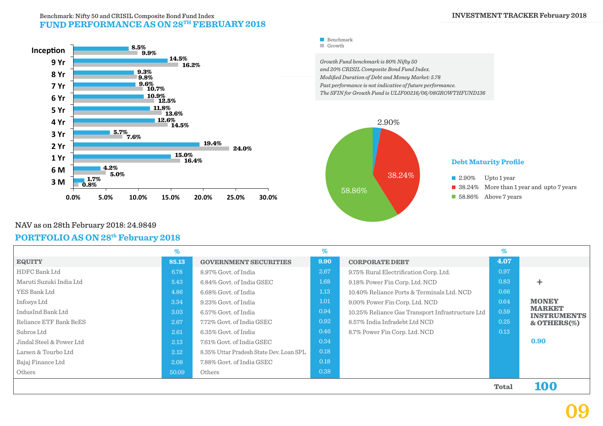#### **FUND PERFORMANCE AS ON 28TH FEBRUARY 2018** Benchmark: Nifty 50 and CRISIL Composite Bond Fund Index



Benchmark **Growth** 

*Growth Fund benchmark is 80% Nifty 50 and 20% CRISIL Composite Bond Fund Index. Modified Duration of Debt and Money Market: 5.78 Past performance is not indicative of future performance. The SFIN for Growth Fund is ULIF00216/06/08GROWTHFUND136*



#### NAV as on 28th February 2018: 24.9849

#### **PORTFOLIO AS ON 28th February 2018**

|                          | %     |                                         | $\%$ |                                                  | $\%$         |                                     |
|--------------------------|-------|-----------------------------------------|------|--------------------------------------------------|--------------|-------------------------------------|
| <b>EQUITY</b>            | 85.13 | <b>GOVERNMENT SECURITIES</b>            | 9.90 | <b>CORPORATE DEBT</b>                            | 4.07         |                                     |
| HDFC Bank Ltd            | 6.78  | 8.97% Govt. of India                    | 2.67 | 9.75% Rural Electrification Corp. Ltd.           | 0.97         |                                     |
| Maruti Suzuki India Ltd  | 5.43  | 6.84% Govt. of India GSEC               | 1.68 | 9.18% Power Fin Corp. Ltd. NCD                   | 0.83         |                                     |
| YES Bank Ltd             | 4.86  | 6.68% Govt. of India                    | 1.13 | 10.40% Reliance Ports & Terminals Ltd. NCD       | 0.66         |                                     |
| Infosys Ltd              | 3.34  | 9.23% Govt. of India                    | 1.01 | 9.00% Power Fin Corp. Ltd. NCD                   | 0.64         | <b>MONEY</b>                        |
| IndusInd Bank Ltd        | 3.03  | 6.57% Govt. of India                    | 0.94 | 10.25% Reliance Gas Transport Infrastructure Ltd | 0.59         | <b>MARKET</b><br><b>INSTRUMENTS</b> |
| Reliance ETF Bank BeES   | 2.67  | 7.72% Govt. of India GSEC               | 0.92 | 8.57% India Infradebt Ltd NCD                    | 0.25         | $&$ OTHERS $(\%)$                   |
| Subros Ltd               | 2.61  | 6.35% Govt. of India                    | 0.46 | 8.7% Power Fin Corp. Ltd. NCD                    | 0.13         |                                     |
| Jindal Steel & Power Ltd | 2.13  | 7.61% Govt. of India GSEC               | 0.34 |                                                  |              | 0.90                                |
| Larsen & Tourbo Ltd      | 2.12  | 8.35% Uttar Pradesh State Dev. Loan SPL | 0.18 |                                                  |              |                                     |
| Bajaj Finance Ltd        | 2.08  | 7.88% Govt. of India GSEC               | 0.18 |                                                  |              |                                     |
| Others                   | 50.09 | Others                                  | 0.38 |                                                  |              |                                     |
|                          |       |                                         |      |                                                  | <b>Total</b> | 100                                 |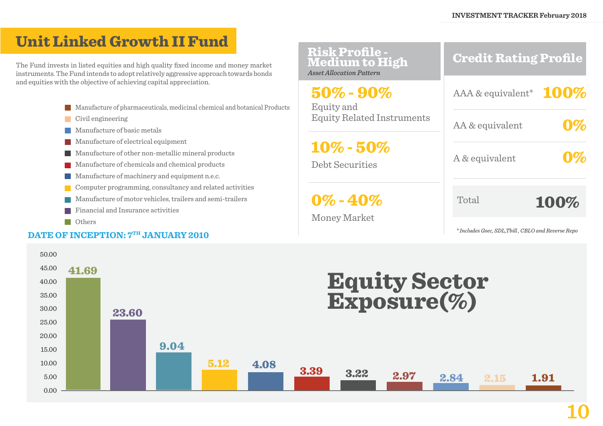## Unit Linked Growth II Fund

The Fund invests in listed equities and high quality fixed income and money market instruments. The Fund intends to adopt relatively aggressive approach towards bonds and equities with the objective of achieving capital appreciation.

- **Manufacture of pharmaceuticals, medicinal chemical and botanical Products**
- Civil engineering
- **Manufacture of basic metals**
- **Manufacture of electrical equipment**
- Manufacture of other non-metallic mineral products
- **Manufacture of chemicals and chemical products**
- **Manufacture of machinery and equipment n.e.c.**
- Computer programming, consultancy and related activities
- Manufacture of motor vehicles, trailers and semi-trailers
- **Financial and Insurance activities**
- **Others**

#### **DATE OF INCEPTION:**  $7^{\text{TH}}$  **JANUARY 2010**

| <b>Risk Profile -<br/>Medium to High</b><br>Asset Allocation Pattern                                         | <b>Credit Rating Profile</b>                      |
|--------------------------------------------------------------------------------------------------------------|---------------------------------------------------|
| $50\%$ - $90\%$<br>Equity and                                                                                | AAA & equivalent* $100\%$                         |
| <b>Equity Related Instruments</b><br>$10\% - 50\%$<br><b>Debt Securities</b><br>$0\% - 40\%$<br>Money Market | AA & equivalent                                   |
|                                                                                                              | A & equivalent                                    |
|                                                                                                              | Total<br>100%                                     |
|                                                                                                              | *Includes Gsec, SDL, Tbill, CBLO and Reverse Repo |

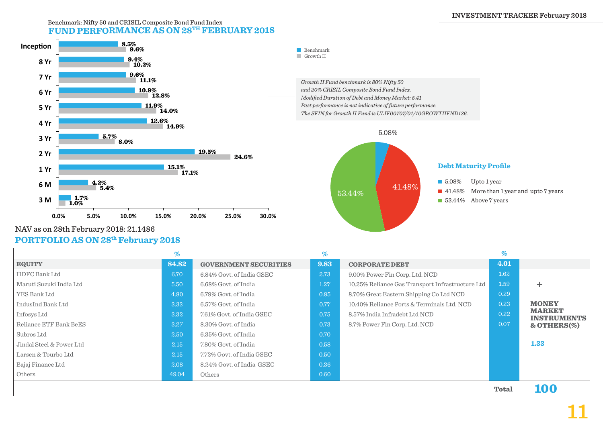#### **FUND PERFORMANCE AS ON 28TH FEBRUARY 2018** Benchmark: Nifty 50 and CRISIL Composite Bond Fund Index



*Growth II Fund benchmark is 80% Nifty 50 and 20% CRISIL Composite Bond Fund Index. Modified Duration of Debt and Money Market: 5.41 Past performance is not indicative of future performance. The SFIN for Growth II Fund is ULIF00707/01/10GROWTIIFND136.*



### NAV as on 28th February 2018: 21.1486

#### **PORTFOLIO AS ON 28th February 2018**

|                          | %     |                              | %    |                                                  | $\%$         |                                     |
|--------------------------|-------|------------------------------|------|--------------------------------------------------|--------------|-------------------------------------|
| <b>EQUITY</b>            | 84.82 | <b>GOVERNMENT SECURITIES</b> | 9.83 | <b>CORPORATE DEBT</b>                            | 4.01         |                                     |
| HDFC Bank Ltd            | 6.70  | 6.84% Govt. of India GSEC    | 2.73 | 9.00% Power Fin Corp. Ltd. NCD                   | 1.62         |                                     |
| Maruti Suzuki India Ltd  | 5.50  | 6.68% Govt. of India         | 1.27 | 10.25% Reliance Gas Transport Infrastructure Ltd | 1.59         | ÷.                                  |
| YES Bank Ltd             | 4.80  | 6.79% Govt. of India         | 0.85 | 8.70% Great Eastern Shipping Co Ltd NCD          | 0.29         |                                     |
| IndusInd Bank Ltd        | 3.33  | 6.57% Govt. of India         | 0.77 | 10.40% Reliance Ports & Terminals Ltd. NCD       | 0.23         | <b>MONEY</b>                        |
| Infosys Ltd              | 3.32  | 7.61% Govt. of India GSEC    | 0.75 | 8.57% India Infradebt Ltd NCD                    | 0.22         | <b>MARKET</b><br><b>INSTRUMENTS</b> |
| Reliance ETF Bank BeES   | 3.27  | 8.30% Govt. of India         | 0.73 | 8.7% Power Fin Corp. Ltd. NCD                    | 0.07         | & OTHERS $(\%)$                     |
| Subros Ltd               | 2.50  | 6.35% Govt. of India         | 0.70 |                                                  |              |                                     |
| Jindal Steel & Power Ltd | 2.15  | 7.80% Govt. of India         | 0.58 |                                                  |              | 1.33                                |
| Larsen & Tourbo Ltd      | 2.15  | 7.72% Govt. of India GSEC    | 0.50 |                                                  |              |                                     |
| Bajaj Finance Ltd        | 2.08  | 8.24% Govt. of India GSEC    | 0.36 |                                                  |              |                                     |
| Others                   | 49.04 | Others                       | 0.60 |                                                  |              |                                     |
|                          |       |                              |      |                                                  | <b>Total</b> | 100                                 |

Benchmark Growth II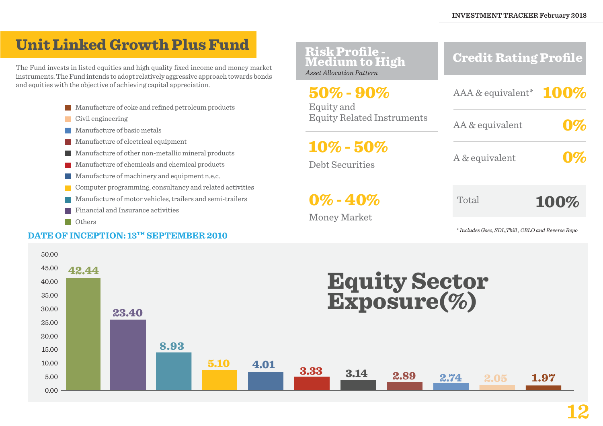## Unit Linked Growth Plus Fund

The Fund invests in listed equities and high quality fixed income and money market instruments. The Fund intends to adopt relatively aggressive approach towards bonds and equities with the objective of achieving capital appreciation.

- **Manufacture of coke and refined petroleum products**
- Civil engineering
- **Manufacture of basic metals**
- **Manufacture of electrical equipment**
- Manufacture of other non-metallic mineral products
- **Manufacture of chemicals and chemical products**
- **Manufacture of machinery and equipment n.e.c.**
- Computer programming, consultancy and related activities
- Manufacture of motor vehicles, trailers and semi-trailers
- **Financial and Insurance activities**
- **N** Others

#### **DATE OF INCEPTION: 13TH SEPTEMBER 2010**



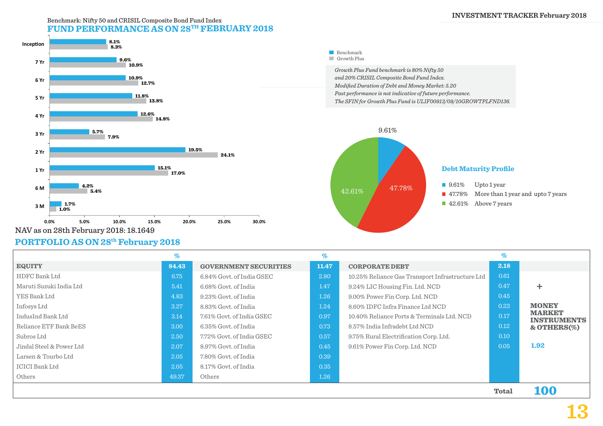#### **INVESTMENT TRACKER February 2018**

#### Benchmark: Nifty 50 and CRISIL Composite Bond Fund Index **FUND PERFORMANCE AS ON 28TH FEBRUARY 2018**



NAV as on 28th February 2018: 18.1649

#### **PORTFOLIO AS ON 28th February 2018**

| Growth Plus Fund benchmark is 80% Nifty 50                     |
|----------------------------------------------------------------|
| and 20% CRISIL Composite Bond Fund Index.                      |
| Modified Duration of Debt and Money Market: 5.20               |
| Past performance is not indicative of future performance.      |
| The SFIN for Growth Plus Fund is ULIF00913/09/10GROWTPLFND136. |
|                                                                |
|                                                                |
|                                                                |
| 9.61%                                                          |
|                                                                |

Benchmark Growth Plus



|                          | $\%$  |                              | %     |                                                  | %            |                                     |
|--------------------------|-------|------------------------------|-------|--------------------------------------------------|--------------|-------------------------------------|
| <b>EQUITY</b>            | 84.43 | <b>GOVERNMENT SECURITIES</b> | 11.47 | <b>CORPORATE DEBT</b>                            | 2.18         |                                     |
| HDFC Bank Ltd            | 6.75  | 6.84% Govt. of India GSEC    | 2.80  | 10.25% Reliance Gas Transport Infrastructure Ltd | 0.61         |                                     |
| Maruti Suzuki India Ltd  | 5.41  | 6.68% Govt. of India         | 1.47  | 9.24% LIC Housing Fin. Ltd. NCD                  | 0.47         | ٠                                   |
| YES Bank Ltd             | 4.83  | 9.23% Govt. of India         | 1.26  | 9.00% Power Fin Corp. Ltd. NCD                   | 0.45         |                                     |
| Infosys Ltd              | 3.27  | 8.83% Govt. of India         | 1.24  | 8.60% IDFC Infra Finance Ltd NCD                 | 0.23         | <b>MONEY</b>                        |
| IndusInd Bank Ltd        | 3.14  | 7.61% Govt. of India GSEC    | 0.97  | 10.40% Reliance Ports & Terminals Ltd. NCD       | 0.17         | <b>MARKET</b><br><b>INSTRUMENTS</b> |
| Reliance ETF Bank BeES   | 3.00  | 6.35% Govt. of India         | 0.73  | 8.57% India Infradebt Ltd NCD                    | 0.12         | $&$ OTHERS $(\%)$                   |
| Subros Ltd               | 2.50  | 7.72% Govt. of India GSEC    | 0.57  | 9.75% Rural Electrification Corp. Ltd.           | 0.10         |                                     |
| Jindal Steel & Power Ltd | 2.07  | 8.97% Govt. of India         | 0.45  | 9.61% Power Fin Corp. Ltd. NCD                   | 0.05         | 1.92                                |
| Larsen & Tourbo Ltd      | 2.05  | 7.80% Govt. of India         | 0.39  |                                                  |              |                                     |
| ICICI Bank Ltd           | 2.05  | 8.17% Govt. of India         | 0.35  |                                                  |              |                                     |
| Others                   | 49.37 | Others                       | 1.26  |                                                  |              |                                     |
|                          |       |                              |       |                                                  | <b>Total</b> | 100                                 |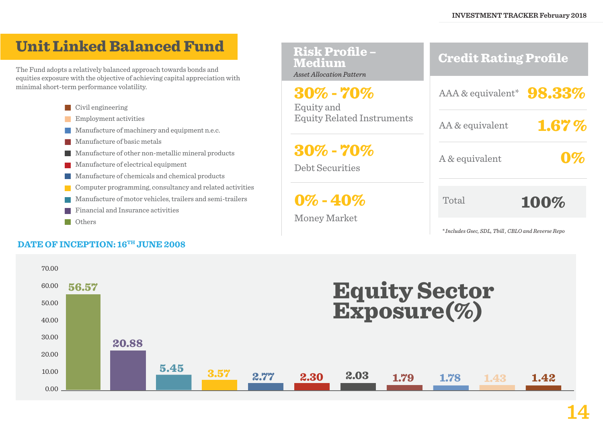## Unit Linked Balanced Fund

The Fund adopts a relatively balanced approach towards bonds and equities exposure with the objective of achieving capital appreciation with minimal short-term performance volatility.

- Civil engineering
- Employment activities
- **Manufacture of machinery and equipment n.e.c.**
- **Manufacture of basic metals**
- Manufacture of other non-metallic mineral products
- **Manufacture of electrical equipment**
- Manufacture of chemicals and chemical products
- Computer programming, consultancy and related activities
- Manufacture of motor vehicles, trailers and semi-trailers
- **Financial and Insurance activities**
- **Others**

#### DATE OF INCEPTION: 16<sup>TH</sup> JUNE 2008

| <b>Risk Profile-</b><br><b>Medium</b><br><b>Asset Allocation Pattern</b> | <b>Credit Rating Profile</b> |  |  |  |  |
|--------------------------------------------------------------------------|------------------------------|--|--|--|--|
| $30\%$ - $70\%$<br>Equity and                                            | AAA & equivalent* $98.33\%$  |  |  |  |  |
| <b>Equity Related Instruments</b>                                        | 1.67%<br>AA & equivalent     |  |  |  |  |
| $30\%$ - $70\%$<br><b>Debt Securities</b>                                | A & equivalent               |  |  |  |  |
| $0\% - 40\%$<br>Money Market                                             | Total<br>100%                |  |  |  |  |

*\* Includes Gsec, SDL, Tbill , CBLO and Reverse Repo*

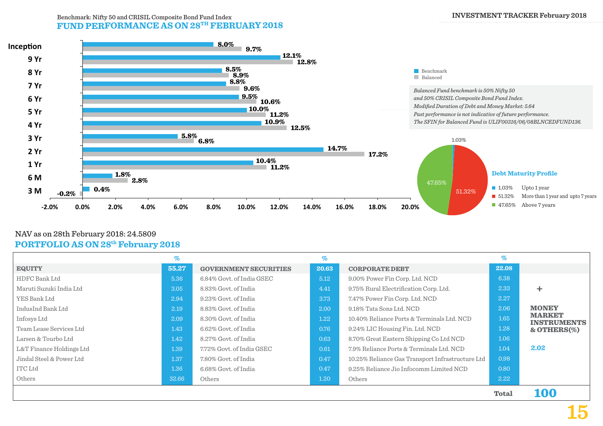#### **FUND PERFORMANCE AS ON 28TH FEBRUARY 2018** Benchmark: Nifty 50 and CRISIL Composite Bond Fund Index **INVESTMENT TRACKER February 2018**



#### **PORTFOLIO AS ON 28th February 2018** NAV as on 28th February 2018: 24.5809

|                          | %     |                              | $\%$  |                                                  | %            |                                     |
|--------------------------|-------|------------------------------|-------|--------------------------------------------------|--------------|-------------------------------------|
| <b>EQUITY</b>            | 55.27 | <b>GOVERNMENT SECURITIES</b> | 20.63 | <b>CORPORATE DEBT</b>                            | 22.08        |                                     |
| HDFC Bank Ltd            | 5.36  | 6.84% Govt. of India GSEC    | 5.12  | 9.00% Power Fin Corp. Ltd. NCD                   | 6.38         |                                     |
| Maruti Suzuki India Ltd  | 3.05  | 8.83% Govt. of India         | 4.41  | 9.75% Rural Electrification Corp. Ltd.           | 2.33         | ٠                                   |
| YES Bank Ltd             | 2.94  | 9.23% Govt. of India         | 3.73  | 7.47% Power Fin Corp. Ltd. NCD                   | 2.27         |                                     |
| IndusInd Bank Ltd        | 2.19  | 8.83% Govt. of India         | 2.00  | 9.18% Tata Sons Ltd. NCD                         | 2.06         | <b>MONEY</b>                        |
| Infosys Ltd              | 2.09  | 8.30% Govt. of India         | 1.22  | 10.40% Reliance Ports & Terminals Ltd. NCD       | 1.65         | <b>MARKET</b><br><b>INSTRUMENTS</b> |
| Team Lease Services Ltd  | 1.43  | 6.62% Govt. of India         | 0.76  | 9.24% LIC Housing Fin. Ltd. NCD                  | 1.28         | & OTHERS $(\%)$                     |
| Larsen & Tourbo Ltd      | 1.42  | 8.27% Govt. of India         | 0.63  | 8.70% Great Eastern Shipping Co Ltd NCD          | 1.06         |                                     |
| L&T Finance Holdings Ltd | 1.39  | 7.72% Govt. of India GSEC    | 0.61  | 7.9% Reliance Ports & Terminals Ltd. NCD         | 1.04         | 2.02                                |
| Jindal Steel & Power Ltd | 1.37  | 7.80% Govt. of India         | 0.47  | 10.25% Reliance Gas Transport Infrastructure Ltd | 0.98         |                                     |
| <b>ITC Ltd</b>           | 1.36  | 6.68% Govt. of India         | 0.47  | 9.25% Reliance Jio Infocomm Limited NCD          | 0.80         |                                     |
| Others                   | 32.66 | Others                       | 1.20  | Others                                           | 2.22         |                                     |
|                          |       |                              |       |                                                  | <b>Total</b> | itoto                               |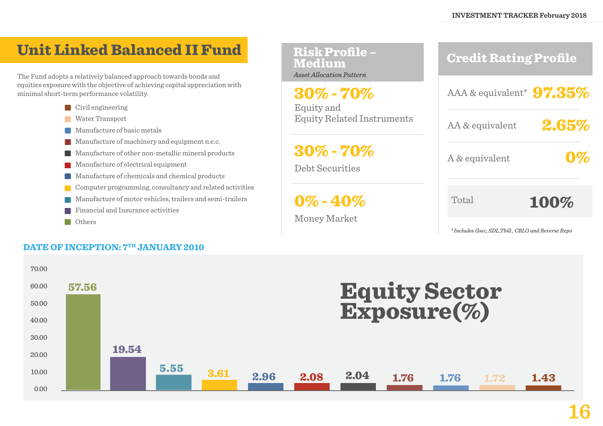Credit Rating Profile

## Unit Linked Balanced II Fund

The Fund adopts a relatively balanced approach towards bonds and equities exposure with the objective of achieving capital appreciation with minimal short-term performance volatility.

- Civil engineering
- **Water Transport**
- **Manufacture of basic metals**
- **Manufacture of machinery and equipment n.e.c.**
- Manufacture of other non-metallic mineral products
- **Manufacture of electrical equipment**
- Manufacture of chemicals and chemical products
- Computer programming, consultancy and related activities
- Manufacture of motor vehicles, trailers and semi-trailers
- **Financial and Insurance activities**
- **Others**

#### **DATE OF INCEPTION:**  $7<sup>TH</sup>$  **JANUARY 2010**

| <b>Medium</b><br><b>Asset Allocation Pattern</b> | <b>Clean Dating Frome</b>   |       |
|--------------------------------------------------|-----------------------------|-------|
| $30\%$ - $70\%$<br>Equity and                    | AAA & equivalent* $97.35\%$ |       |
| <b>Equity Related Instruments</b>                | AA & equivalent             | 2.65% |
| <u>a a a </u>                                    |                             |       |

30% - 70%

Risk Profile –

Debt Securities

 $0\%$  -  $40\%$ 

Money Market

2.65%

A & equivalent

0%

Total

100%

*\* Includes Gsec, SDL,Tbill , CBLO and Reverse Repo*

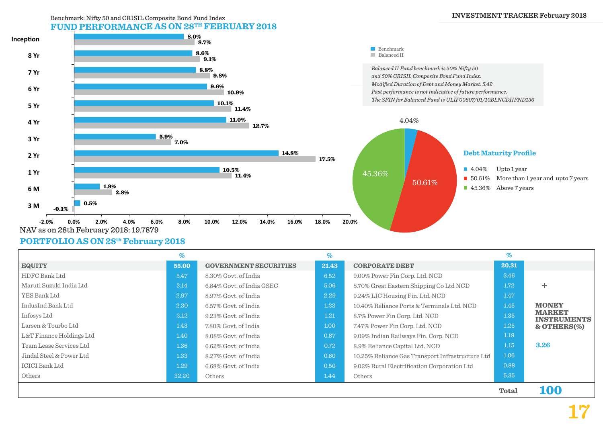#### **FUND PERFORMANCE AS ON 28TH FEBRUARY 2018** Benchmark: Nifty 50 and CRISIL Composite Bond Fund Index



#### **PORTFOLIO AS ON 28th February 2018**

|                          | $\%$  |                              | $\%$  |                                                  | $\%$         |                                     |
|--------------------------|-------|------------------------------|-------|--------------------------------------------------|--------------|-------------------------------------|
| <b>EQUITY</b>            | 55.00 | <b>GOVERNMENT SECURITIES</b> | 21.43 | <b>CORPORATE DEBT</b>                            | 20.31        |                                     |
| HDFC Bank Ltd            | 5.47  | 8.30% Govt. of India         | 6.52  | 9.00% Power Fin Corp. Ltd. NCD                   | 3.46         |                                     |
| Maruti Suzuki India Ltd  | 3.14  | 6.84% Govt. of India GSEC    | 5.06  | 8.70% Great Eastern Shipping Co Ltd NCD          | 1.72         | ÷                                   |
| YES Bank Ltd             | 2.97  | 8.97% Govt. of India         | 2.29  | 9.24% LIC Housing Fin. Ltd. NCD                  | 1.47         |                                     |
| IndusInd Bank Ltd        | 2.30  | 6.57% Govt. of India         | 1.23  | 10.40% Reliance Ports & Terminals Ltd. NCD       | 1.45         | <b>MONEY</b>                        |
| Infosys Ltd              | 2.12  | 9.23% Govt. of India         | 1.21  | 8.7% Power Fin Corp. Ltd. NCD                    | 1.35         | <b>MARKET</b><br><b>INSTRUMENTS</b> |
| Larsen & Tourbo Ltd      | 1.43  | 7.80% Govt. of India         | 1.00  | 7.47% Power Fin Corp. Ltd. NCD                   | 1.25         | $&$ OTHERS $(\%)$                   |
| L&T Finance Holdings Ltd | 1.40  | 8.08% Govt. of India         | 0.87  | 9.09% Indian Railways Fin. Corp. NCD             | 1.19         |                                     |
| Team Lease Services Ltd  | 1.36  | 6.62% Govt. of India         | 0.72  | 8.9% Reliance Capital Ltd. NCD                   | 1.15         | 3.26                                |
| Jindal Steel & Power Ltd | 1.33  | 8.27% Govt. of India         | 0.60  | 10.25% Reliance Gas Transport Infrastructure Ltd | 1.06         |                                     |
| ICICI Bank Ltd           | 1.29  | 6.68% Govt. of India         | 0.50  | 9.02% Rural Electrification Corporation Ltd      | 0.88         |                                     |
| Others                   | 32.20 | Others                       | 1.44  | Others                                           | 5.35         |                                     |
|                          |       |                              |       |                                                  | <b>Total</b> | 100                                 |

**17**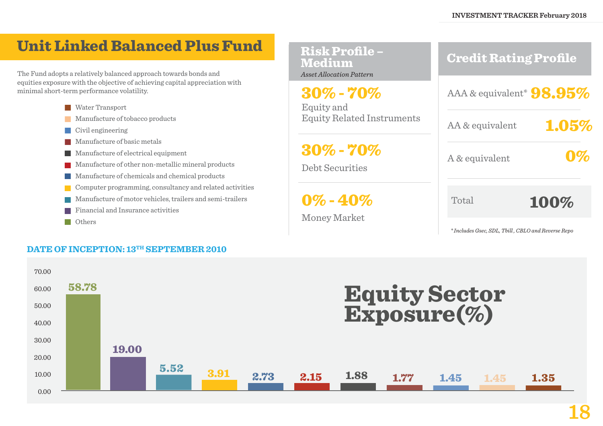## Unit Linked Balanced Plus Fund

The Fund adopts a relatively balanced approach towards bonds and equities exposure with the objective of achieving capital appreciation with minimal short-term performance volatility.

- **Water Transport**
- **Manufacture of tobacco products**
- **Civil** engineering
- **Manufacture of basic metals**
- **Manufacture of electrical equipment**
- **Manufacture of other non-metallic mineral products**
- Manufacture of chemicals and chemical products
- Computer programming, consultancy and related activities
- Manufacture of motor vehicles, trailers and semi-trailers
- **Financial and Insurance activities**
- **Others**

#### **DATE OF INCEPTION: 13TH SEPTEMBER 2010**



*\* Includes Gsec, SDL, Tbill , CBLO and Reverse Repo*

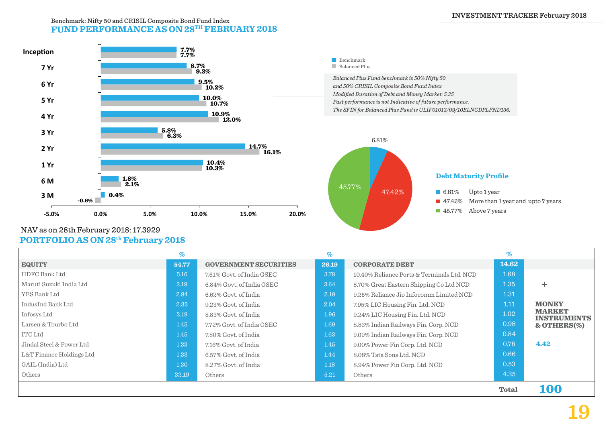#### **FUND PERFORMANCE AS ON 28TH FEBRUARY 2018** Benchmark: Nifty 50 and CRISIL Composite Bond Fund Index



#### **PORTFOLIO AS ON 28th February 2018** NAV as on 28th February 2018: 17.3929

|                            | $\%$  |                              | %     |                                            | %            |                                     |
|----------------------------|-------|------------------------------|-------|--------------------------------------------|--------------|-------------------------------------|
| <b>EQUITY</b>              | 54.77 | <b>GOVERNMENT SECURITIES</b> | 26.19 | <b>CORPORATE DEBT</b>                      | 14.62        |                                     |
| HDFC Bank Ltd              | 5.16  | 7.61% Govt. of India GSEC    | 3.78  | 10.40% Reliance Ports & Terminals Ltd. NCD | 1.68         |                                     |
| Maruti Suzuki India Ltd    | 3.19  | 6.84% Govt. of India GSEC    | 3.64  | 8.70% Great Eastern Shipping Co Ltd NCD    | 1.35         | ٠                                   |
| YES Bank Ltd               | 2.84  | 6.62% Govt. of India         | 2.19  | 9.25% Reliance Jio Infocomm Limited NCD    | 1.31         |                                     |
| IndusInd Bank Ltd          | 2.32  | 9.23% Govt. of India         | 2.04  | 7.95% LIC Housing Fin. Ltd. NCD            | 1.11         | <b>MONEY</b>                        |
| Infosys Ltd                | 2.19  | 8.83% Govt. of India         | 1.96  | 9.24% LIC Housing Fin. Ltd. NCD            | 1.02         | <b>MARKET</b><br><b>INSTRUMENTS</b> |
| Larsen & Tourbo Ltd        | 1.45  | 7.72% Govt. of India GSEC    | 1.69  | 8.83% Indian Railways Fin. Corp. NCD       | 0.98         | $&$ OTHERS $(\%)$                   |
| ITC Ltd                    | 1.45  | 7.80% Govt. of India         | 1.63  | 9.09% Indian Railways Fin. Corp. NCD       | 0.84         |                                     |
| Jindal Steel & Power Ltd   | 1.33  | 7.16% Govt. of India         | 1.45  | 9.00% Power Fin Corp. Ltd. NCD             | 0.78         | 4.42                                |
| $L&T$ Finance Holdings Ltd | 1.33  | 6.57% Govt. of India         | 1.44  | 8.08% Tata Sons Ltd. NCD                   | 0.66         |                                     |
| GAIL (India) Ltd           | 1.30  | 8.27% Govt. of India         | 1.18  | 8.94% Power Fin Corp. Ltd. NCD             | 0.53         |                                     |
| Others                     | 32.19 | Others                       | 5.21  | Others                                     | 4.35         |                                     |
|                            |       |                              |       |                                            | <b>Total</b> | <b>100</b>                          |

## **19**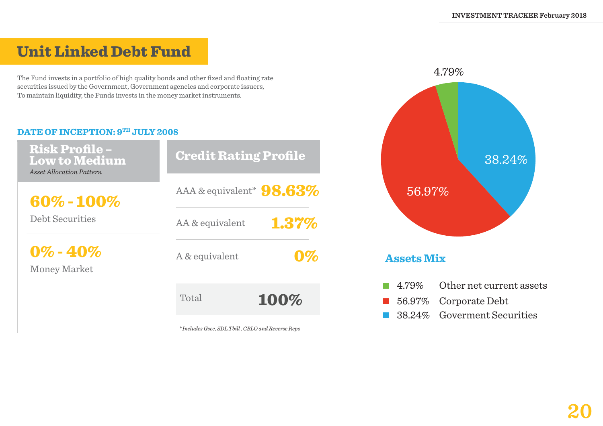## Unit Linked Debt Fund

The Fund invests in a portfolio of high quality bonds and other fixed and floating rate securities issued by the Government, Government agencies and corporate issuers, To maintain liquidity, the Funds invests in the money market instruments.

#### **DATE OF INCEPTION: 9TH JULY 2008**

| <b>Risk Profile-</b><br><b>Low to Medium</b><br><b>Asset Allocation Pattern</b> | <b>Credit Rating Profile</b> |  |  |  |
|---------------------------------------------------------------------------------|------------------------------|--|--|--|
| 60%-100%<br><b>Debt Securities</b><br>$0\% - 40\%$<br>Money Market              | AAA & equivalent* $98.63\%$  |  |  |  |
|                                                                                 | 1.37%<br>AA & equivalent     |  |  |  |
|                                                                                 | A & equivalent               |  |  |  |
|                                                                                 | Total<br>100%                |  |  |  |

*\* Includes Gsec, SDL,Tbill , CBLO and Reverse Repo*

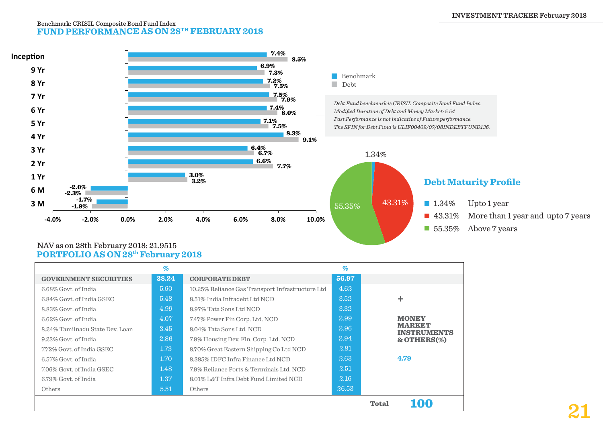#### **FUND PERFORMANCE AS ON 28TH FEBRUARY 2018** Benchmark: CRISIL Composite Bond Fund Index



#### **PORTFOLIO AS ON 28th February 2018** NAV as on 28th February 2018: 21.9515

|                                 | $\%$  |                                                  | $\%$  |                                     |
|---------------------------------|-------|--------------------------------------------------|-------|-------------------------------------|
| <b>GOVERNMENT SECURITIES</b>    | 38.24 | <b>CORPORATE DEBT</b>                            | 56.97 |                                     |
| 6.68% Govt. of India            | 5.60  | 10.25% Reliance Gas Transport Infrastructure Ltd | 4.62  |                                     |
| 6.84% Govt. of India GSEC       | 5.48  | 8.51% India Infradebt Ltd NCD                    | 3.52  | ٠                                   |
| 8.83% Govt. of India            | 4.99  | 8.97% Tata Sons Ltd NCD                          | 3.32  |                                     |
| 6.62% Govt. of India            | 4.07  | 7.47% Power Fin Corp. Ltd. NCD                   | 2.99  | <b>MONEY</b>                        |
| 8.24% Tamilnadu State Dev. Loan | 3.45  | 8.04% Tata Sons Ltd. NCD                         | 2.96  | <b>MARKET</b><br><b>INSTRUMENTS</b> |
| 9.23% Govt. of India            | 2.86  | 7.9% Housing Dev. Fin. Corp. Ltd. NCD            | 2.94  | $&$ OTHERS $(\%)$                   |
| 7.72% Govt. of India GSEC       | 1.73  | 8.70% Great Eastern Shipping Co Ltd NCD          | 2.81  |                                     |
| 6.57% Govt. of India            | 1.70  | 8.385% IDFC Infra Finance Ltd NCD                | 2.63  | 4.79                                |
| 7.06% Govt. of India GSEC       | 1.48  | 7.9% Reliance Ports & Terminals Ltd. NCD         | 2.51  |                                     |
| 6.79% Govt. of India            | 1.37  | 8.01% L&T Infra Debt Fund Limited NCD            | 2.16  |                                     |
| Others                          | 5.51  | Others                                           | 26.53 |                                     |
|                                 |       |                                                  |       | 100<br>Total                        |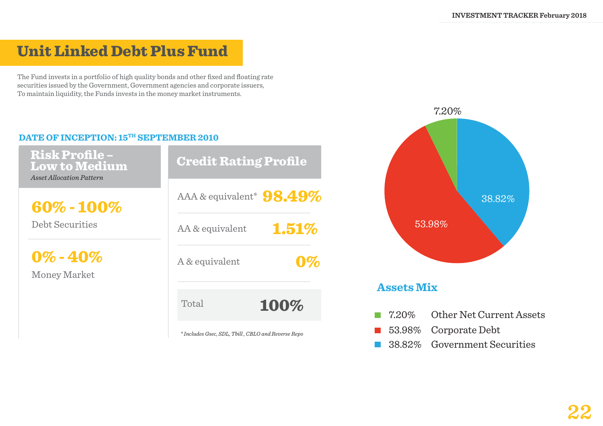## Unit Linked Debt Plus Fund

The Fund invests in a portfolio of high quality bonds and other fixed and floating rate securities issued by the Government, Government agencies and corporate issuers, To maintain liquidity, the Funds invests in the money market instruments.

#### DATE OF INCEPTION: 15<sup>TH</sup> SEPTEMBER 2010

Risk Profile – Low to Medium *Asset Allocation Pattern*

60% - 100%

Debt Securities

 $0\% - 40\%$ 

Money Market

| <b>Credit Rating Profile</b>                       |
|----------------------------------------------------|
| AAA & equivalent* $98.49\%$                        |
| 1.51%<br>AA & equivalent                           |
| A & equivalent                                     |
| Total<br>100%                                      |
| * Includes Gsec, SDL, Tbill, CBLO and Reverse Repo |



- 53.98% Corporate Debt  $\mathcal{L}^{\text{max}}$
- **38.82%** Government Securities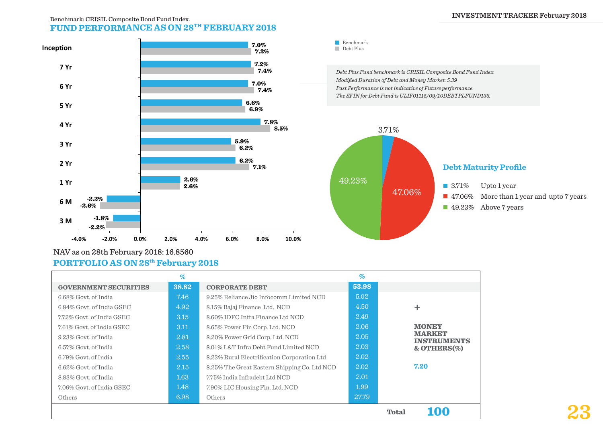#### **INVESTMENT TRACKER February 2018**

#### **FUND PERFORMANCE AS ON 28TH FEBRUARY 2018** Benchmark: CRISIL Composite Bond Fund Index.



#### NAV as on 28th February 2018: 16.8560 **PORTFOLIO AS ON 28th February 2018**

|                              | $\%$  |                                              | $\%$  |                                     |
|------------------------------|-------|----------------------------------------------|-------|-------------------------------------|
| <b>GOVERNMENT SECURITIES</b> | 38.82 | <b>CORPORATE DEBT</b>                        | 53.98 |                                     |
| 6.68% Govt. of India         | 7.46  | 9.25% Reliance Jio Infocomm Limited NCD      | 5.02  |                                     |
| 6.84% Govt. of India GSEC    | 4.92  | 8.15% Bajaj Finance Ltd. NCD                 | 4.50  |                                     |
| 7.72% Govt. of India GSEC    | 3.15  | 8.60% IDFC Infra Finance Ltd NCD             | 2.49  |                                     |
| 7.61% Govt. of India GSEC    | 3.11  | 8.65% Power Fin Corp. Ltd. NCD               | 2.06  | <b>MONEY</b>                        |
| 9.23% Govt. of India         | 2.81  | 8.20% Power Grid Corp. Ltd. NCD              | 2.05  | <b>MARKET</b><br><b>INSTRUMENTS</b> |
| 6.57% Govt. of India         | 2.58  | 8.01% L&T Infra Debt Fund Limited NCD        | 2.03  | $&$ OTHERS $(\%)$                   |
| 6.79% Govt. of India         | 2.55  | 8.23% Rural Electrification Corporation Ltd  | 2.02  |                                     |
| 6.62% Govt. of India         | 2.15  | 8.25% The Great Eastern Shipping Co. Ltd NCD | 2.02  | 7.20                                |
| 8.83% Govt. of India         | 1.63  | 7.75% India Infradebt Ltd NCD                | 2.01  |                                     |
| 7.06% Govt. of India GSEC    | 1.48  | 7.90% LIC Housing Fin. Ltd. NCD              | 1.99  |                                     |
| Others                       | 6.98  | Others                                       | 27.79 |                                     |
|                              |       |                                              |       | <b>Total</b><br>100                 |

*Debt Plus Fund benchmark is CRISIL Composite Bond Fund Index. Modified Duration of Debt and Money Market: 5.39 Past Performance is not indicative of Future performance. The SFIN for Debt Fund is ULIF01115/09/10DEBTPLFUND136.*



**23**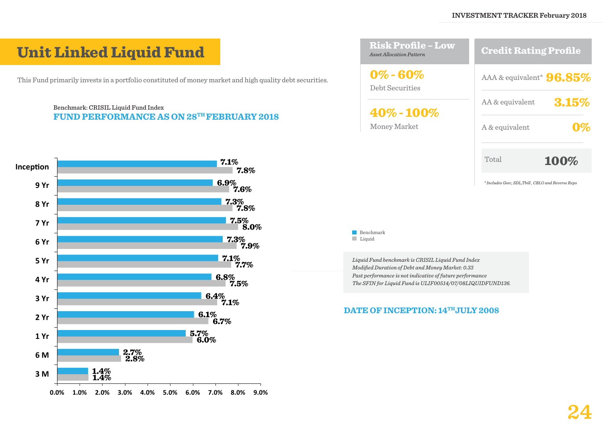*\* Includes Gsec, SDL,Tbill , CBLO and Reverse Repo*

## Unit Linked Liquid Fund

This Fund primarily invests in a portfolio constituted of money market and high quality debt securities.

#### Benchmark: CRISIL Liquid Fund Index **FUND PERFORMANCE AS ON 28TH FEBRUARY 2018**



| <u> Risk Profile – Low</u><br>Asset Allocation Pattern                          | <b>Credit Rating Profile</b> |
|---------------------------------------------------------------------------------|------------------------------|
| $0\% - 60\%$<br>Debt Securities<br>${\bf 40\%}$ - ${\bf 100\%}$<br>Money Market | AAA & equivalent* $96.85\%$  |
|                                                                                 | 3.15%<br>AA & equivalent     |
|                                                                                 | A & equivalent               |
|                                                                                 | Total<br>100%                |
|                                                                                 |                              |

#### Benchmark Liquid

*Liquid Fund benchmark is CRISIL Liquid Fund Index Modified Duration of Debt and Money Market: 0.33 Past performance is not indicative of future performance The SFIN for Liquid Fund is ULIF00514/07/08LIQUIDFUND136.*

#### DATE OF INCEPTION:  $14^{\text{TH}}$ JULY 2008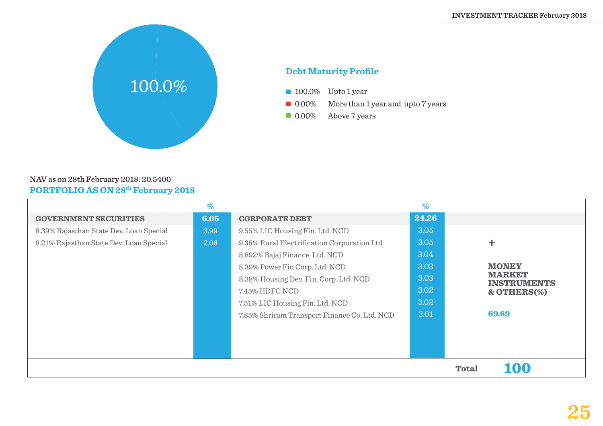

#### **Debt Maturity Profile**

- **100.0%** Upto 1 year
- **0.00%** More than 1 year and upto 7 years
- **0.00%** Above 7 years

#### NAV as on 28th February 2018: 20.5400 **PORTFOLIO AS ON 28th February 2018**

|                                         | $\%$ |                                              | $\%$  |                                     |
|-----------------------------------------|------|----------------------------------------------|-------|-------------------------------------|
| <b>GOVERNMENT SECURITIES</b>            | 6.05 | <b>CORPORATE DEBT</b>                        | 24.26 |                                     |
| 8.39% Rajasthan State Dev. Loan Special | 3.99 | 9.55% LIC Housing Fin. Ltd. NCD              | 3.05  |                                     |
| 8.21% Rajasthan State Dev. Loan Special | 2.06 | 9.38% Rural Electrification Corporation Ltd  | 3.05  | ╈                                   |
|                                         |      | 8.892% Bajaj Finance Ltd. NCD                | 3.04  |                                     |
|                                         |      | 8.39% Power Fin Corp. Ltd. NCD               | 3.03  | <b>MONEY</b>                        |
|                                         |      | 8.38% Housing Dev. Fin. Corp. Ltd. NCD       | 3.03  | <b>MARKET</b><br><b>INSTRUMENTS</b> |
|                                         |      | 7.45% HDFC NCD                               | 3.02  | $&$ OTHERS $(\%)$                   |
|                                         |      | 7.51% LIC Housing Fin. Ltd. NCD              | 3.02  |                                     |
|                                         |      | 7.85% Shriram Transport Finance Co. Ltd. NCD | 3.01  | 69.69                               |
|                                         |      |                                              |       |                                     |
|                                         |      |                                              |       |                                     |
|                                         |      |                                              |       |                                     |
|                                         |      |                                              |       | 100<br><b>Total</b>                 |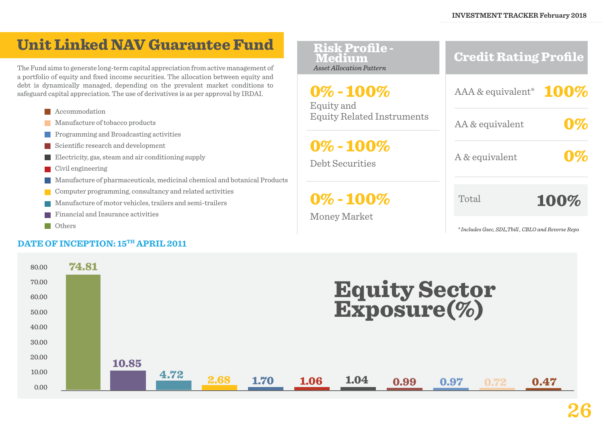## Unit Linked NAV Guarantee Fund

The Fund aims to generate long-term capital appreciation from active management of a portfolio of equity and fixed income securities. The allocation between equity and debt is dynamically managed, depending on the prevalent market conditions to safeguard capital appreciation. The use of derivatives is as per approval by IRDAI.



#### **N** Others

#### DATE OF INCEPTION: 15<sup>TH</sup> APRIL 2011

Equity and Equity Related Instruments 0% - 100%

0% - 100%

Debt Securities

 $0\% - 100\%$ 

Money Market

Credit Rating Profile

AAA & equivalent\* 100% AA & equivalent A & equivalent 0% Total 0%

*\* Includes Gsec, SDL,Tbill , CBLO and Reverse Repo*

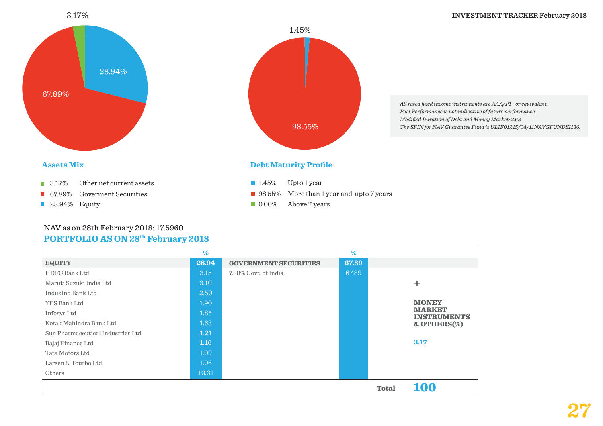

# 1.45% 98.55%

1.45% Upto 1 year

**Debt Maturity Profile**

**0.00%** Above 7 years

98.55% More than 1 year and upto 7 years

*All rated fixed income instruments are AAA/P1+ or equivalent. Past Performance is not indicative of future performance. Modified Duration of Debt and Money Market: 2.62 The SFIN for NAV Guarantee Fund is ULIF01215/04/11NAVGFUNDSI136.*

#### **Assets Mix**

- **3.17%** Other net current assets
- **67.89%** Goverment Securities
- **28.94%** Equity

#### **PORTFOLIO AS ON 28th February 2018** NAV as on 28th February 2018: 17.5960

|                                   | $\%$  |                              | $\%$  |              |                                     |
|-----------------------------------|-------|------------------------------|-------|--------------|-------------------------------------|
| <b>EQUITY</b>                     | 28.94 | <b>GOVERNMENT SECURITIES</b> | 67.89 |              |                                     |
| HDFC Bank Ltd                     | 3.15  | 7.80% Govt. of India         | 67.89 |              |                                     |
| Maruti Suzuki India Ltd           | 3.10  |                              |       |              | ÷.                                  |
| IndusInd Bank Ltd                 | 2.50  |                              |       |              |                                     |
| YES Bank Ltd                      | 1.90  |                              |       |              | <b>MONEY</b>                        |
| Infosys Ltd                       | 1.85  |                              |       |              | <b>MARKET</b><br><b>INSTRUMENTS</b> |
| Kotak Mahindra Bank Ltd           | 1.63  |                              |       |              | $&$ OTHERS $(\%)$                   |
| Sun Pharmaceutical Industries Ltd | 1.21  |                              |       |              |                                     |
| Bajaj Finance Ltd                 | 1.16  |                              |       |              | 3.17                                |
| Tata Motors Ltd                   | 1.09  |                              |       |              |                                     |
| Larsen & Tourbo Ltd               | 1.06  |                              |       |              |                                     |
| Others                            | 10.31 |                              |       |              |                                     |
|                                   |       |                              |       | <b>Total</b> | <b>100</b>                          |

## **27**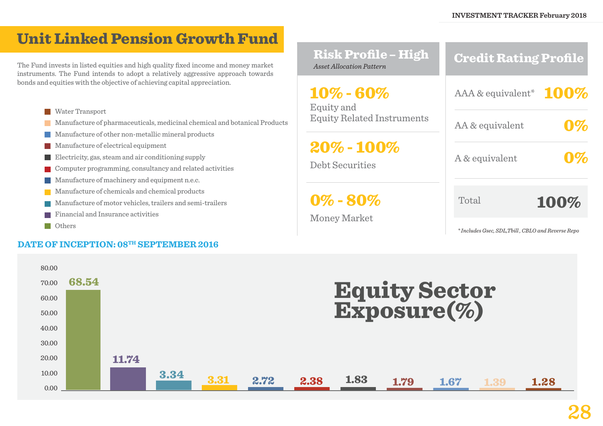## Unit Linked Pension Growth Fund

The Fund invests in listed equities and high quality fixed income and money market instruments. The Fund intends to adopt a relatively aggressive approach towards bonds and equities with the objective of achieving capital appreciation.

- **Water Transport**
- Manufacture of pharmaceuticals, medicinal chemical and botanical Products
- Manufacture of other non-metallic mineral products
- Manufacture of electrical equipment  $\sim$
- Electricity, gas, steam and air conditioning supply
- Computer programming, consultancy and related activities  $\sim 10$
- **Manufacture of machinery and equipment n.e.c.**
- Manufacture of chemicals and chemical products  $\mathcal{L}^{\text{max}}$
- Manufacture of motor vehicles, trailers and semi-trailers
- Financial and Insurance activities
- **N** Others

#### **DATE OF INCEPTION: 08TH SEPTEMBER 2016**

| <b>Risk Profile - High</b><br><b>Asset Allocation Pattern</b>                                   | <b>Credit Rating Profile</b>                     |
|-------------------------------------------------------------------------------------------------|--------------------------------------------------|
| 10% - 60%<br>Equity and                                                                         | AAA & equivalent* $100\%$                        |
| <b>Equity Related Instruments</b><br>$20\%$ - $100\%$<br><b>Debt Securities</b><br>$0\% - 80\%$ | AA & equivalent                                  |
|                                                                                                 | A & equivalent                                   |
|                                                                                                 | Total<br>100%                                    |
| <b>Money Market</b>                                                                             | *Includes Gsec, SDL,Tbill, CBLO and Reverse Repo |

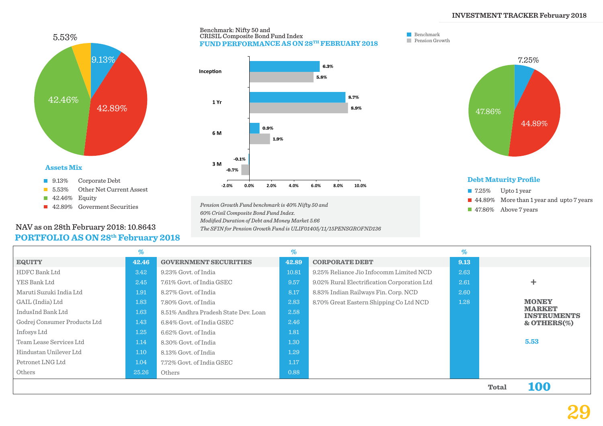

#### **PORTFOLIO AS ON 28th February 2018** NAV as on 28th February 2018: 10.8643



Benchmark: Nifty 50 and

CRISIL Composite Bond Fund Index

*Pension Growth Fund benchmark is 40% Nifty 50 and 60% Crisil Composite Bond Fund Index. Modified Duration of Debt and Money Market 5.66 The SFIN for Pension Growth Fund is ULIF01405/11/15PENSGROFND136*

#### Benchmark **Pension Growth**



- 7.25% Upto 1 year 44.89% More than 1 year and upto 7 years
- **47.86%** Above 7 years

|                              | %     |                                      | $\%$  |                                             | $\%$ |              |                                     |
|------------------------------|-------|--------------------------------------|-------|---------------------------------------------|------|--------------|-------------------------------------|
| <b>EQUITY</b>                | 42.46 | <b>GOVERNMENT SECURITIES</b>         | 42.89 | <b>CORPORATE DEBT</b>                       | 9.13 |              |                                     |
| HDFC Bank Ltd                | 3.42  | 9.23% Govt. of India                 | 10.81 | 9.25% Reliance Jio Infocomm Limited NCD     | 2.63 |              |                                     |
| YES Bank Ltd                 | 2.45  | 7.61% Govt. of India GSEC            | 9.57  | 9.02% Rural Electrification Corporation Ltd | 2.61 |              |                                     |
| Maruti Suzuki India Ltd      | 1.91  | 8.27% Govt. of India                 | 8.17  | 8.83% Indian Railways Fin. Corp. NCD        | 2.60 |              |                                     |
| GAIL (India) Ltd             | 1.83  | 7.80% Govt. of India                 | 2.83  | 8.70% Great Eastern Shipping Co Ltd NCD     | 1.28 |              | <b>MONEY</b>                        |
| IndusInd Bank Ltd            | 1.63  | 8.51% Andhra Pradesh State Dev. Loan | 2.58  |                                             |      |              | <b>MARKET</b><br><b>INSTRUMENTS</b> |
| Godrej Consumer Products Ltd | 1.43  | 6.84% Govt. of India GSEC            | 2.46  |                                             |      |              | $&$ OTHERS $(\%)$                   |
| Infosys Ltd                  | 1.25  | 6.62% Govt. of India                 | 1.81  |                                             |      |              |                                     |
| Team Lease Services Ltd      | 1.14  | 8.30% Govt. of India                 | 1.30  |                                             |      |              | 5.53                                |
| Hindustan Unilever Ltd       | 1.10  | 8.13% Govt. of India                 | 1.29  |                                             |      |              |                                     |
| Petronet LNG Ltd             | 1.04  | 7.72% Govt. of India GSEC            | 1.17  |                                             |      |              |                                     |
| Others                       | 25.26 | Others                               | 0.88  |                                             |      |              |                                     |
|                              |       |                                      |       |                                             |      | <b>Total</b> | 100                                 |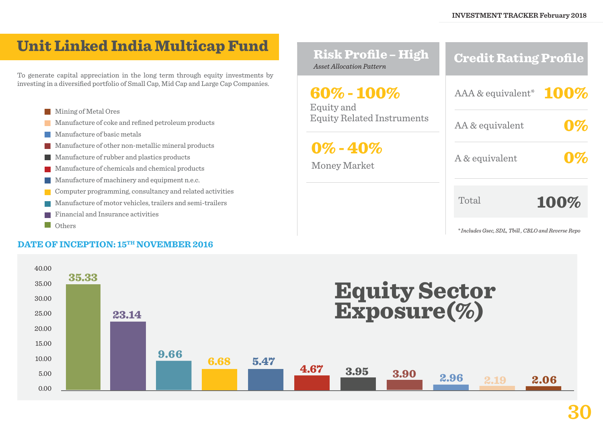## Unit Linked India Multicap Fund

To generate capital appreciation in the long term through equity investments by investing in a diversified portfolio of Small Cap, Mid Cap and Large Cap Companies.

- **Mining of Metal Ores**
- Manufacture of coke and refined petroleum products  $\mathcal{L}^{\mathcal{L}}$
- Manufacture of basic metals  $\sim$
- Manufacture of other non-metallic mineral products  $\mathcal{L}_{\mathcal{A}}$
- **Manufacture of rubber and plastics products**
- Manufacture of chemicals and chemical products  $\sim 10$
- Manufacture of machinery and equipment n.e.c.  $\mathcal{L}^{\text{max}}$
- Computer programming, consultancy and related activities  $\mathcal{L}^{\text{max}}$
- Manufacture of motor vehicles, trailers and semi-trailers
- Financial and Insurance activities **Tale**
- **Others**

#### **DATE OF INCEPTION: 15TH NOVEMBER 2016**

| <b>Risk Profile - High</b><br><b>Asset Allocation Pattern</b> | <b>Credit Rating Profile</b> |
|---------------------------------------------------------------|------------------------------|
| 60% - 100%<br>Equity and                                      | AAA & equivalent* $100\%$    |
| <b>Equity Related Instruments</b>                             | AA & equivalent              |
| $0\%$ - $40\%$<br><b>Money Market</b>                         | A & equivalent               |
|                                                               | Total<br>100%                |
|                                                               |                              |

*\* Includes Gsec, SDL, Tbill , CBLO and Reverse Repo*

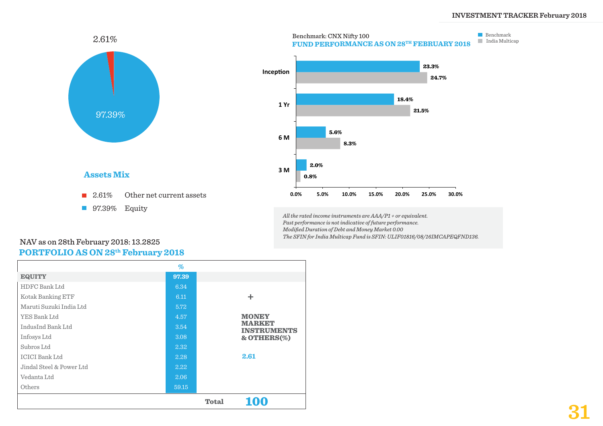

#### **Assets Mix**

- 2.61% Other net current assets
- **97.39%** Equity



*All the rated income instruments are AAA/P1 + or equivalent. Past performance is not indicative of future performance. Modified Duration of Debt and Money Market 0.00 The SFIN for India Multicap Fund is SFIN: ULIF01816/08/16IMCAPEQFND136.*

#### **PORTFOLIO AS ON 28th February 2018** NAV as on 28th February 2018: 13.2825

|                          | $\%$  |              |                                     |
|--------------------------|-------|--------------|-------------------------------------|
| <b>EQUITY</b>            | 97.39 |              |                                     |
| HDFC Bank Ltd            | 6.34  |              |                                     |
| Kotak Banking ETF        | 6.11  |              | ÷                                   |
| Maruti Suzuki India Ltd  | 5.72  |              |                                     |
| YES Bank Ltd             | 4.57  |              | <b>MONEY</b>                        |
| IndusInd Bank Ltd        | 3.54  |              | <b>MARKET</b><br><b>INSTRUMENTS</b> |
| Infosys Ltd              | 3.08  |              | & OTHERS(%)                         |
| Subros Ltd               | 2.32  |              |                                     |
| <b>ICICI Bank Ltd</b>    | 2.28  |              | 2.61                                |
| Jindal Steel & Power Ltd | 2.22  |              |                                     |
| Vedanta Ltd              | 2.06  |              |                                     |
| Others                   | 59.15 |              |                                     |
|                          |       | <b>Total</b> | <b>100</b>                          |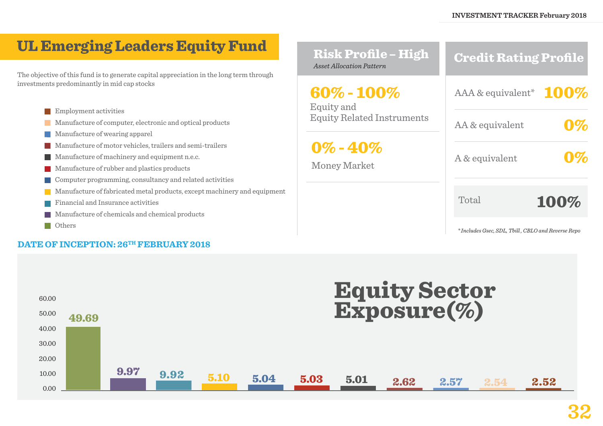## UL Emerging Leaders Equity Fund

The objective of this fund is to generate capital appreciation in the long term through investments predominantly in mid cap stocks

- **Employment activities**
- **Manufacture of computer, electronic and optical products**
- **Manufacture of wearing apparel**
- $\mathcal{L}_{\mathcal{A}}$ Manufacture of motor vehicles, trailers and semi-trailers
- **Manufacture of machinery and equipment n.e.c.**
- **Manufacture of rubber and plastics products**
- **The Second** Computer programming, consultancy and related activities
- Manufacture of fabricated metal products, except machinery and equipment
- Financial and Insurance activities T.
- Manufacture of chemicals and chemical products  $\mathcal{L}^{\text{max}}$
- **Others**

#### **DATE OF INCEPTION: 26TH FEBRUARY 2018**

| <b>Risk Profile - High</b><br><b>Asset Allocation Pattern</b> | <b>Credit Rating Profile</b>                       |  |
|---------------------------------------------------------------|----------------------------------------------------|--|
| 60% - 100%<br>Equity and<br><b>Equity Related Instruments</b> | AAA & equivalent* $100^{\circ}$                    |  |
|                                                               | AA & equivalent                                    |  |
| $0\%$ - $40\%$<br><b>Money Market</b>                         | A & equivalent                                     |  |
|                                                               | Total<br>100%                                      |  |
|                                                               | * Includes Gsec, SDL, Tbill, CBLO and Reverse Repo |  |

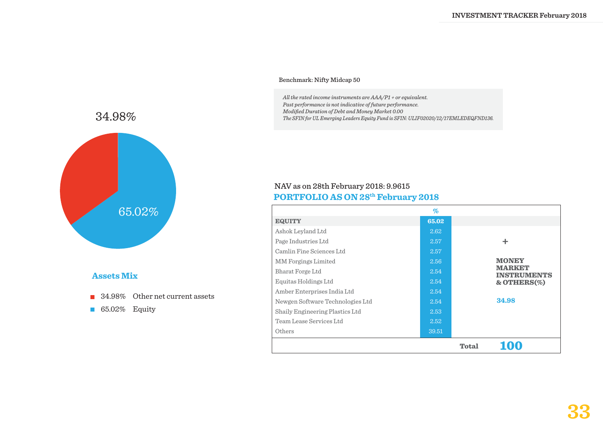#### Benchmark: Nifty Midcap 50

*All the rated income instruments are AAA/P1 + or equivalent. Past performance is not indicative of future performance. Modified Duration of Debt and Money Market 0.00 The SFIN for UL Emerging Leaders Equity Fund is SFIN: ULIF02020/12/17EMLEDEQFND136.*



#### **Assets Mix**

- 34.98% Other net current assets
- 65.02% Equity

#### **PORTFOLIO AS ON 28th February 2018** NAV as on 28th February 2018: 9.9615

|                                  | $\%$  |              |                                     |
|----------------------------------|-------|--------------|-------------------------------------|
| <b>EQUITY</b>                    | 65.02 |              |                                     |
| Ashok Leyland Ltd                | 2.62  |              |                                     |
| Page Industries Ltd              | 2.57  |              | ÷                                   |
| Camlin Fine Sciences Ltd         | 2.57  |              |                                     |
| <b>MM</b> Forgings Limited       | 2.56  |              | <b>MONEY</b>                        |
| Bharat Forge Ltd                 | 2.54  |              | <b>MARKET</b><br><b>INSTRUMENTS</b> |
| Equitas Holdings Ltd             | 2.54  |              | & OTHERS(%)                         |
| Amber Enterprises India Ltd      | 2.54  |              |                                     |
| Newgen Software Technologies Ltd | 2.54  |              | 34.98                               |
| Shaily Engineering Plastics Ltd  | 2.53  |              |                                     |
| Team Lease Services Ltd          | 2.52  |              |                                     |
| Others                           | 39.51 |              |                                     |
|                                  |       | <b>Total</b> | 100                                 |